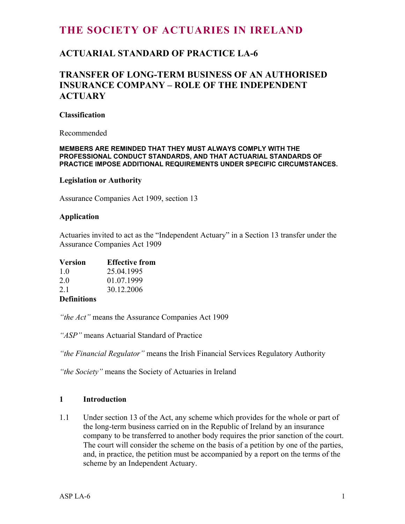# **THE SOCIETY OF ACTUARIES IN IRELAND**

## **ACTUARIAL STANDARD OF PRACTICE LA-6**

## **TRANSFER OF LONG-TERM BUSINESS OF AN AUTHORISED INSURANCE COMPANY – ROLE OF THE INDEPENDENT ACTUARY**

#### **Classification**

Recommended

#### **MEMBERS ARE REMINDED THAT THEY MUST ALWAYS COMPLY WITH THE PROFESSIONAL CONDUCT STANDARDS, AND THAT ACTUARIAL STANDARDS OF PRACTICE IMPOSE ADDITIONAL REQUIREMENTS UNDER SPECIFIC CIRCUMSTANCES.**

#### **Legislation or Authority**

Assurance Companies Act 1909, section 13

#### **Application**

Actuaries invited to act as the "Independent Actuary" in a Section 13 transfer under the Assurance Companies Act 1909

| <b>Version</b> | <b>Effective from</b> |
|----------------|-----------------------|
| $1\Omega$      | 25.011005             |

| . L.O | 25.04.1995 |
|-------|------------|
| 2.0   | 01.07.1999 |
| 2.1   | 30.12.2006 |
|       |            |

## **Definitions**

*"the Act"* means the Assurance Companies Act 1909

*"ASP"* means Actuarial Standard of Practice

*"the Financial Regulator"* means the Irish Financial Services Regulatory Authority

*"the Society"* means the Society of Actuaries in Ireland

### **1 Introduction**

1.1 Under section 13 of the Act, any scheme which provides for the whole or part of the long-term business carried on in the Republic of Ireland by an insurance company to be transferred to another body requires the prior sanction of the court. The court will consider the scheme on the basis of a petition by one of the parties, and, in practice, the petition must be accompanied by a report on the terms of the scheme by an Independent Actuary.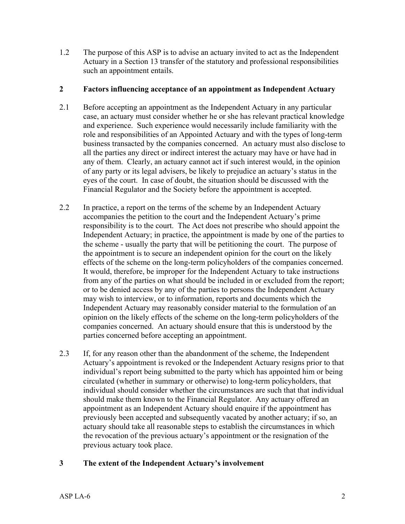1.2 The purpose of this ASP is to advise an actuary invited to act as the Independent Actuary in a Section 13 transfer of the statutory and professional responsibilities such an appointment entails.

## **2 Factors influencing acceptance of an appointment as Independent Actuary**

- 2.1 Before accepting an appointment as the Independent Actuary in any particular case, an actuary must consider whether he or she has relevant practical knowledge and experience. Such experience would necessarily include familiarity with the role and responsibilities of an Appointed Actuary and with the types of long-term business transacted by the companies concerned. An actuary must also disclose to all the parties any direct or indirect interest the actuary may have or have had in any of them. Clearly, an actuary cannot act if such interest would, in the opinion of any party or its legal advisers, be likely to prejudice an actuary's status in the eyes of the court. In case of doubt, the situation should be discussed with the Financial Regulator and the Society before the appointment is accepted.
- 2.2 In practice, a report on the terms of the scheme by an Independent Actuary accompanies the petition to the court and the Independent Actuary's prime responsibility is to the court. The Act does not prescribe who should appoint the Independent Actuary; in practice, the appointment is made by one of the parties to the scheme - usually the party that will be petitioning the court. The purpose of the appointment is to secure an independent opinion for the court on the likely effects of the scheme on the long-term policyholders of the companies concerned. It would, therefore, be improper for the Independent Actuary to take instructions from any of the parties on what should be included in or excluded from the report; or to be denied access by any of the parties to persons the Independent Actuary may wish to interview, or to information, reports and documents which the Independent Actuary may reasonably consider material to the formulation of an opinion on the likely effects of the scheme on the long-term policyholders of the companies concerned. An actuary should ensure that this is understood by the parties concerned before accepting an appointment.
- 2.3 If, for any reason other than the abandonment of the scheme, the Independent Actuary's appointment is revoked or the Independent Actuary resigns prior to that individual's report being submitted to the party which has appointed him or being circulated (whether in summary or otherwise) to long-term policyholders, that individual should consider whether the circumstances are such that that individual should make them known to the Financial Regulator. Any actuary offered an appointment as an Independent Actuary should enquire if the appointment has previously been accepted and subsequently vacated by another actuary; if so, an actuary should take all reasonable steps to establish the circumstances in which the revocation of the previous actuary's appointment or the resignation of the previous actuary took place.

## **3 The extent of the Independent Actuary's involvement**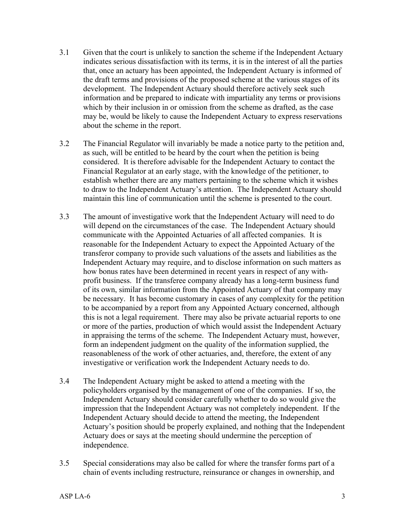- 3.1 Given that the court is unlikely to sanction the scheme if the Independent Actuary indicates serious dissatisfaction with its terms, it is in the interest of all the parties that, once an actuary has been appointed, the Independent Actuary is informed of the draft terms and provisions of the proposed scheme at the various stages of its development. The Independent Actuary should therefore actively seek such information and be prepared to indicate with impartiality any terms or provisions which by their inclusion in or omission from the scheme as drafted, as the case may be, would be likely to cause the Independent Actuary to express reservations about the scheme in the report.
- 3.2 The Financial Regulator will invariably be made a notice party to the petition and, as such, will be entitled to be heard by the court when the petition is being considered. It is therefore advisable for the Independent Actuary to contact the Financial Regulator at an early stage, with the knowledge of the petitioner, to establish whether there are any matters pertaining to the scheme which it wishes to draw to the Independent Actuary's attention. The Independent Actuary should maintain this line of communication until the scheme is presented to the court.
- 3.3 The amount of investigative work that the Independent Actuary will need to do will depend on the circumstances of the case. The Independent Actuary should communicate with the Appointed Actuaries of all affected companies. It is reasonable for the Independent Actuary to expect the Appointed Actuary of the transferor company to provide such valuations of the assets and liabilities as the Independent Actuary may require, and to disclose information on such matters as how bonus rates have been determined in recent years in respect of any withprofit business. If the transferee company already has a long-term business fund of its own, similar information from the Appointed Actuary of that company may be necessary. It has become customary in cases of any complexity for the petition to be accompanied by a report from any Appointed Actuary concerned, although this is not a legal requirement. There may also be private actuarial reports to one or more of the parties, production of which would assist the Independent Actuary in appraising the terms of the scheme. The Independent Actuary must, however, form an independent judgment on the quality of the information supplied, the reasonableness of the work of other actuaries, and, therefore, the extent of any investigative or verification work the Independent Actuary needs to do.
- 3.4 The Independent Actuary might be asked to attend a meeting with the policyholders organised by the management of one of the companies. If so, the Independent Actuary should consider carefully whether to do so would give the impression that the Independent Actuary was not completely independent. If the Independent Actuary should decide to attend the meeting, the Independent Actuary's position should be properly explained, and nothing that the Independent Actuary does or says at the meeting should undermine the perception of independence.
- 3.5 Special considerations may also be called for where the transfer forms part of a chain of events including restructure, reinsurance or changes in ownership, and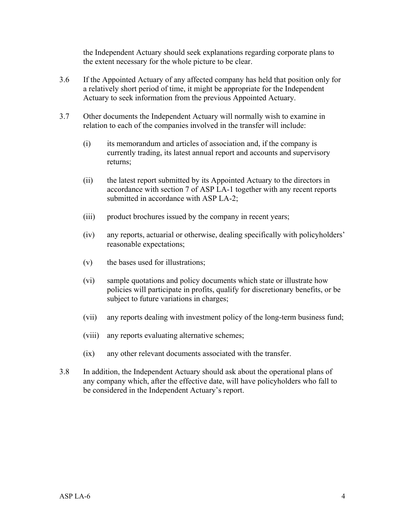the Independent Actuary should seek explanations regarding corporate plans to the extent necessary for the whole picture to be clear.

- 3.6 If the Appointed Actuary of any affected company has held that position only for a relatively short period of time, it might be appropriate for the Independent Actuary to seek information from the previous Appointed Actuary.
- 3.7 Other documents the Independent Actuary will normally wish to examine in relation to each of the companies involved in the transfer will include:
	- (i) its memorandum and articles of association and, if the company is currently trading, its latest annual report and accounts and supervisory returns;
	- (ii) the latest report submitted by its Appointed Actuary to the directors in accordance with section 7 of ASP LA-1 together with any recent reports submitted in accordance with ASP LA-2;
	- (iii) product brochures issued by the company in recent years;
	- (iv) any reports, actuarial or otherwise, dealing specifically with policyholders' reasonable expectations;
	- (v) the bases used for illustrations;
	- (vi) sample quotations and policy documents which state or illustrate how policies will participate in profits, qualify for discretionary benefits, or be subject to future variations in charges;
	- (vii) any reports dealing with investment policy of the long-term business fund;
	- (viii) any reports evaluating alternative schemes;
	- (ix) any other relevant documents associated with the transfer.
- 3.8 In addition, the Independent Actuary should ask about the operational plans of any company which, after the effective date, will have policyholders who fall to be considered in the Independent Actuary's report.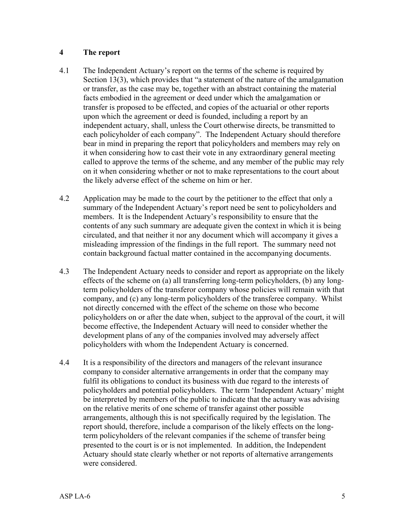## **4 The report**

- 4.1 The Independent Actuary's report on the terms of the scheme is required by Section 13(3), which provides that "a statement of the nature of the amalgamation or transfer, as the case may be, together with an abstract containing the material facts embodied in the agreement or deed under which the amalgamation or transfer is proposed to be effected, and copies of the actuarial or other reports upon which the agreement or deed is founded, including a report by an independent actuary, shall, unless the Court otherwise directs, be transmitted to each policyholder of each company". The Independent Actuary should therefore bear in mind in preparing the report that policyholders and members may rely on it when considering how to cast their vote in any extraordinary general meeting called to approve the terms of the scheme, and any member of the public may rely on it when considering whether or not to make representations to the court about the likely adverse effect of the scheme on him or her.
- 4.2 Application may be made to the court by the petitioner to the effect that only a summary of the Independent Actuary's report need be sent to policyholders and members. It is the Independent Actuary's responsibility to ensure that the contents of any such summary are adequate given the context in which it is being circulated, and that neither it nor any document which will accompany it gives a misleading impression of the findings in the full report. The summary need not contain background factual matter contained in the accompanying documents.
- 4.3 The Independent Actuary needs to consider and report as appropriate on the likely effects of the scheme on (a) all transferring long-term policyholders, (b) any longterm policyholders of the transferor company whose policies will remain with that company, and (c) any long-term policyholders of the transferee company. Whilst not directly concerned with the effect of the scheme on those who become policyholders on or after the date when, subject to the approval of the court, it will become effective, the Independent Actuary will need to consider whether the development plans of any of the companies involved may adversely affect policyholders with whom the Independent Actuary is concerned.
- 4.4 It is a responsibility of the directors and managers of the relevant insurance company to consider alternative arrangements in order that the company may fulfil its obligations to conduct its business with due regard to the interests of policyholders and potential policyholders. The term 'Independent Actuary' might be interpreted by members of the public to indicate that the actuary was advising on the relative merits of one scheme of transfer against other possible arrangements, although this is not specifically required by the legislation. The report should, therefore, include a comparison of the likely effects on the longterm policyholders of the relevant companies if the scheme of transfer being presented to the court is or is not implemented. In addition, the Independent Actuary should state clearly whether or not reports of alternative arrangements were considered.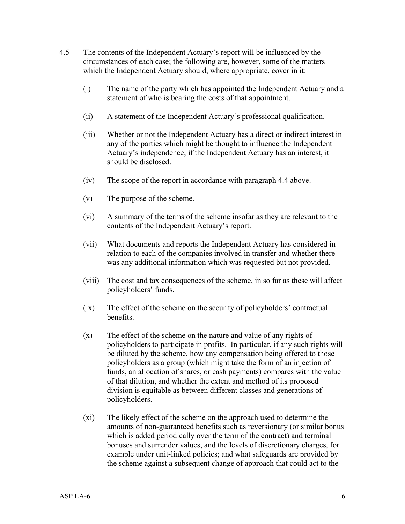- 4.5 The contents of the Independent Actuary's report will be influenced by the circumstances of each case; the following are, however, some of the matters which the Independent Actuary should, where appropriate, cover in it:
	- (i) The name of the party which has appointed the Independent Actuary and a statement of who is bearing the costs of that appointment.
	- (ii) A statement of the Independent Actuary's professional qualification.
	- (iii) Whether or not the Independent Actuary has a direct or indirect interest in any of the parties which might be thought to influence the Independent Actuary's independence; if the Independent Actuary has an interest, it should be disclosed.
	- (iv) The scope of the report in accordance with paragraph 4.4 above.
	- (v) The purpose of the scheme.
	- (vi) A summary of the terms of the scheme insofar as they are relevant to the contents of the Independent Actuary's report.
	- (vii) What documents and reports the Independent Actuary has considered in relation to each of the companies involved in transfer and whether there was any additional information which was requested but not provided.
	- (viii) The cost and tax consequences of the scheme, in so far as these will affect policyholders' funds.
	- (ix) The effect of the scheme on the security of policyholders' contractual benefits.
	- (x) The effect of the scheme on the nature and value of any rights of policyholders to participate in profits. In particular, if any such rights will be diluted by the scheme, how any compensation being offered to those policyholders as a group (which might take the form of an injection of funds, an allocation of shares, or cash payments) compares with the value of that dilution, and whether the extent and method of its proposed division is equitable as between different classes and generations of policyholders.
	- (xi) The likely effect of the scheme on the approach used to determine the amounts of non-guaranteed benefits such as reversionary (or similar bonus which is added periodically over the term of the contract) and terminal bonuses and surrender values, and the levels of discretionary charges, for example under unit-linked policies; and what safeguards are provided by the scheme against a subsequent change of approach that could act to the